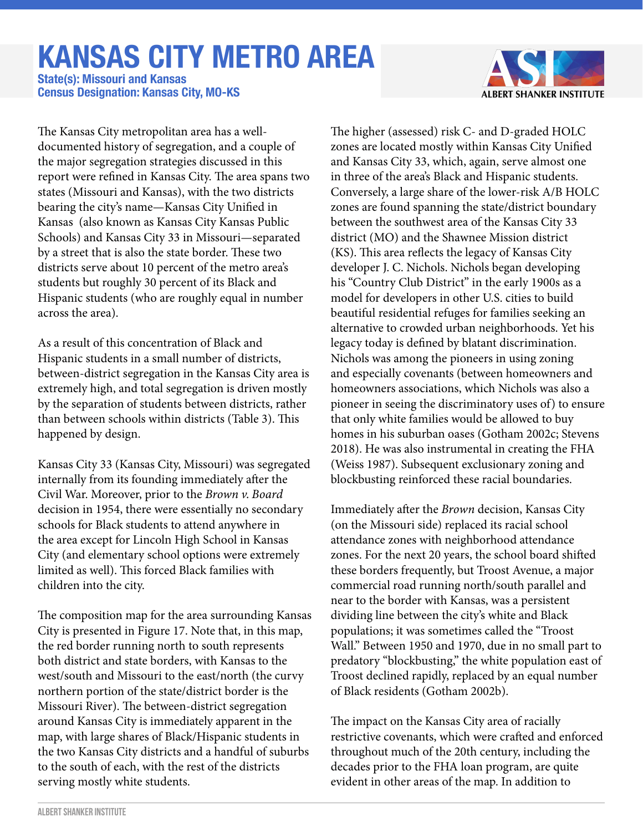## **KANSAS CITY METRO AREA**

**Census Designation: Kansas City, MO-KS State(s): Missouri and Kansas**



The Kansas City metropolitan area has a welldocumented history of segregation, and a couple of the major segregation strategies discussed in this report were refined in Kansas City. The area spans two states (Missouri and Kansas), with the two districts bearing the city's name—Kansas City Unified in Kansas (also known as Kansas City Kansas Public Schools) and Kansas City 33 in Missouri—separated by a street that is also the state border. These two districts serve about 10 percent of the metro area's students but roughly 30 percent of its Black and Hispanic students (who are roughly equal in number across the area).

As a result of this concentration of Black and Hispanic students in a small number of districts, between-district segregation in the Kansas City area is extremely high, and total segregation is driven mostly by the separation of students between districts, rather than between schools within districts (Table 3). This happened by design.

Kansas City 33 (Kansas City, Missouri) was segregated internally from its founding immediately after the Civil War. Moreover, prior to the *Brown v. Board*  decision in 1954, there were essentially no secondary schools for Black students to attend anywhere in the area except for Lincoln High School in Kansas City (and elementary school options were extremely limited as well). This forced Black families with children into the city.

The composition map for the area surrounding Kansas City is presented in Figure 17. Note that, in this map, the red border running north to south represents both district and state borders, with Kansas to the west/south and Missouri to the east/north (the curvy northern portion of the state/district border is the Missouri River). The between-district segregation around Kansas City is immediately apparent in the map, with large shares of Black/Hispanic students in the two Kansas City districts and a handful of suburbs to the south of each, with the rest of the districts serving mostly white students.

The higher (assessed) risk C- and D-graded HOLC zones are located mostly within Kansas City Unified and Kansas City 33, which, again, serve almost one in three of the area's Black and Hispanic students. Conversely, a large share of the lower-risk A/B HOLC zones are found spanning the state/district boundary between the southwest area of the Kansas City 33 district (MO) and the Shawnee Mission district (KS). This area reflects the legacy of Kansas City developer J. C. Nichols. Nichols began developing his "Country Club District" in the early 1900s as a model for developers in other U.S. cities to build beautiful residential refuges for families seeking an alternative to crowded urban neighborhoods. Yet his legacy today is defined by blatant discrimination. Nichols was among the pioneers in using zoning and especially covenants (between homeowners and homeowners associations, which Nichols was also a pioneer in seeing the discriminatory uses of) to ensure that only white families would be allowed to buy homes in his suburban oases (Gotham 2002c; Stevens 2018). He was also instrumental in creating the FHA (Weiss 1987). Subsequent exclusionary zoning and blockbusting reinforced these racial boundaries.

Immediately after the *Brown* decision, Kansas City (on the Missouri side) replaced its racial school attendance zones with neighborhood attendance zones. For the next 20 years, the school board shifted these borders frequently, but Troost Avenue, a major commercial road running north/south parallel and near to the border with Kansas, was a persistent dividing line between the city's white and Black populations; it was sometimes called the "Troost Wall." Between 1950 and 1970, due in no small part to predatory "blockbusting," the white population east of Troost declined rapidly, replaced by an equal number of Black residents (Gotham 2002b).

The impact on the Kansas City area of racially restrictive covenants, which were crafted and enforced throughout much of the 20th century, including the decades prior to the FHA loan program, are quite evident in other areas of the map. In addition to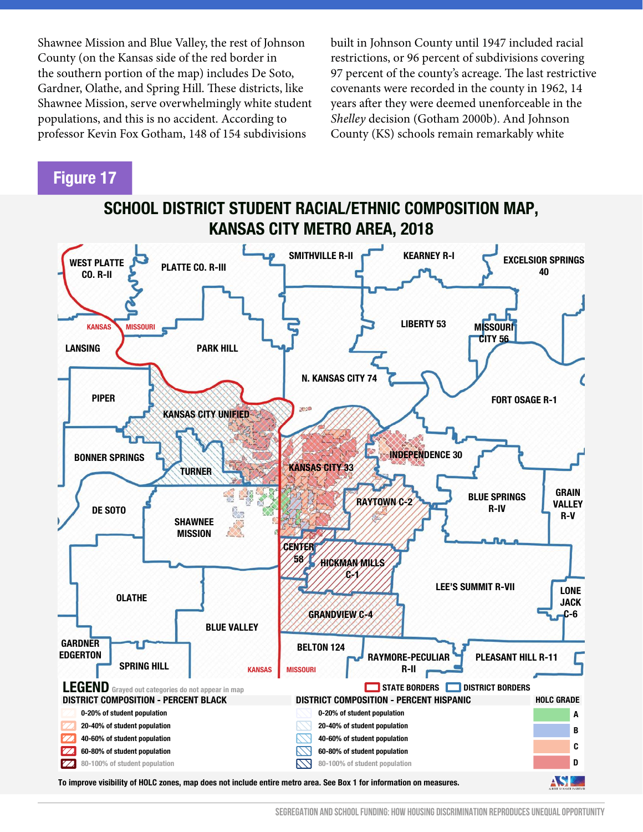Shawnee Mission and Blue Valley, the rest of Johnson County (on the Kansas side of the red border in the southern portion of the map) includes De Soto, Gardner, Olathe, and Spring Hill. These districts, like Shawnee Mission, serve overwhelmingly white student populations, and this is no accident. According to professor Kevin Fox Gotham, 148 of 154 subdivisions

built in Johnson County until 1947 included racial restrictions, or 96 percent of subdivisions covering 97 percent of the county's acreage. The last restrictive covenants were recorded in the county in 1962, 14 years after they were deemed unenforceable in the *Shelley* decision (Gotham 2000b). And Johnson County (KS) schools remain remarkably white

## **Figure 17**



**SCHOOL DISTRICT STUDENT RACIAL/ETHNIC COMPOSITION MAP,**

**To improve visibility of HOLC zones, map does not include entire metro area. See Box 1 for information on measures.**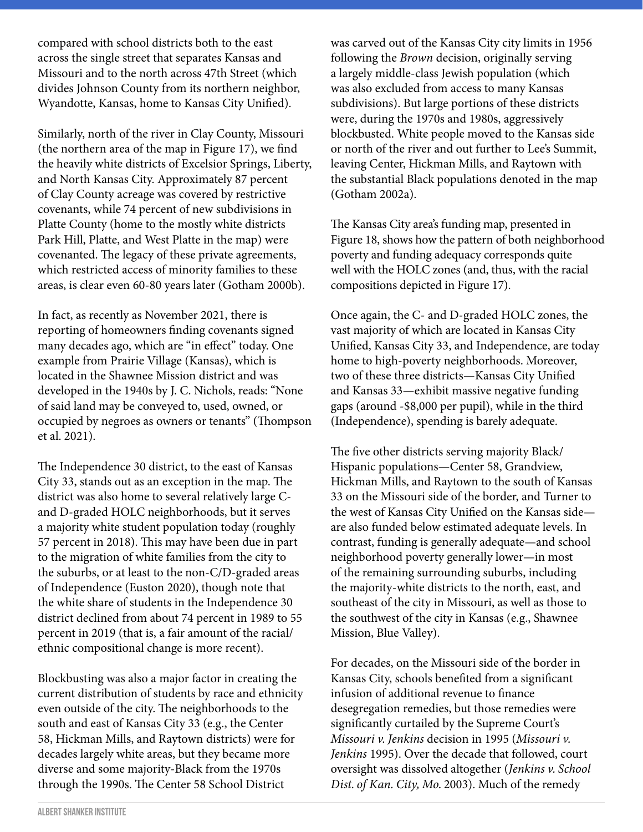compared with school districts both to the east across the single street that separates Kansas and Missouri and to the north across 47th Street (which divides Johnson County from its northern neighbor, Wyandotte, Kansas, home to Kansas City Unified).

Similarly, north of the river in Clay County, Missouri (the northern area of the map in Figure 17), we find the heavily white districts of Excelsior Springs, Liberty, and North Kansas City. Approximately 87 percent of Clay County acreage was covered by restrictive covenants, while 74 percent of new subdivisions in Platte County (home to the mostly white districts Park Hill, Platte, and West Platte in the map) were covenanted. The legacy of these private agreements, which restricted access of minority families to these areas, is clear even 60-80 years later (Gotham 2000b).

In fact, as recently as November 2021, there is reporting of homeowners finding covenants signed many decades ago, which are "in effect" today. One example from Prairie Village (Kansas), which is located in the Shawnee Mission district and was developed in the 1940s by J. C. Nichols, reads: "None of said land may be conveyed to, used, owned, or occupied by negroes as owners or tenants" (Thompson et al. 2021).

The Independence 30 district, to the east of Kansas City 33, stands out as an exception in the map. The district was also home to several relatively large Cand D-graded HOLC neighborhoods, but it serves a majority white student population today (roughly 57 percent in 2018). This may have been due in part to the migration of white families from the city to the suburbs, or at least to the non-C/D-graded areas of Independence (Euston 2020), though note that the white share of students in the Independence 30 district declined from about 74 percent in 1989 to 55 percent in 2019 (that is, a fair amount of the racial/ ethnic compositional change is more recent).

Blockbusting was also a major factor in creating the current distribution of students by race and ethnicity even outside of the city. The neighborhoods to the south and east of Kansas City 33 (e.g., the Center 58, Hickman Mills, and Raytown districts) were for decades largely white areas, but they became more diverse and some majority-Black from the 1970s through the 1990s. The Center 58 School District

was carved out of the Kansas City city limits in 1956 following the *Brown* decision, originally serving a largely middle-class Jewish population (which was also excluded from access to many Kansas subdivisions). But large portions of these districts were, during the 1970s and 1980s, aggressively blockbusted. White people moved to the Kansas side or north of the river and out further to Lee's Summit, leaving Center, Hickman Mills, and Raytown with the substantial Black populations denoted in the map (Gotham 2002a).

The Kansas City area's funding map, presented in Figure 18, shows how the pattern of both neighborhood poverty and funding adequacy corresponds quite well with the HOLC zones (and, thus, with the racial compositions depicted in Figure 17).

Once again, the C- and D-graded HOLC zones, the vast majority of which are located in Kansas City Unified, Kansas City 33, and Independence, are today home to high-poverty neighborhoods. Moreover, two of these three districts—Kansas City Unified and Kansas 33—exhibit massive negative funding gaps (around -\$8,000 per pupil), while in the third (Independence), spending is barely adequate.

The five other districts serving majority Black/ Hispanic populations—Center 58, Grandview, Hickman Mills, and Raytown to the south of Kansas 33 on the Missouri side of the border, and Turner to the west of Kansas City Unified on the Kansas side are also funded below estimated adequate levels. In contrast, funding is generally adequate—and school neighborhood poverty generally lower—in most of the remaining surrounding suburbs, including the majority-white districts to the north, east, and southeast of the city in Missouri, as well as those to the southwest of the city in Kansas (e.g., Shawnee Mission, Blue Valley).

For decades, on the Missouri side of the border in Kansas City, schools benefited from a significant infusion of additional revenue to finance desegregation remedies, but those remedies were significantly curtailed by the Supreme Court's *Missouri v. Jenkins* decision in 1995 (*Missouri v. Jenkins* 1995). Over the decade that followed, court oversight was dissolved altogether (*Jenkins v. School Dist. of Kan. City, Mo.* 2003). Much of the remedy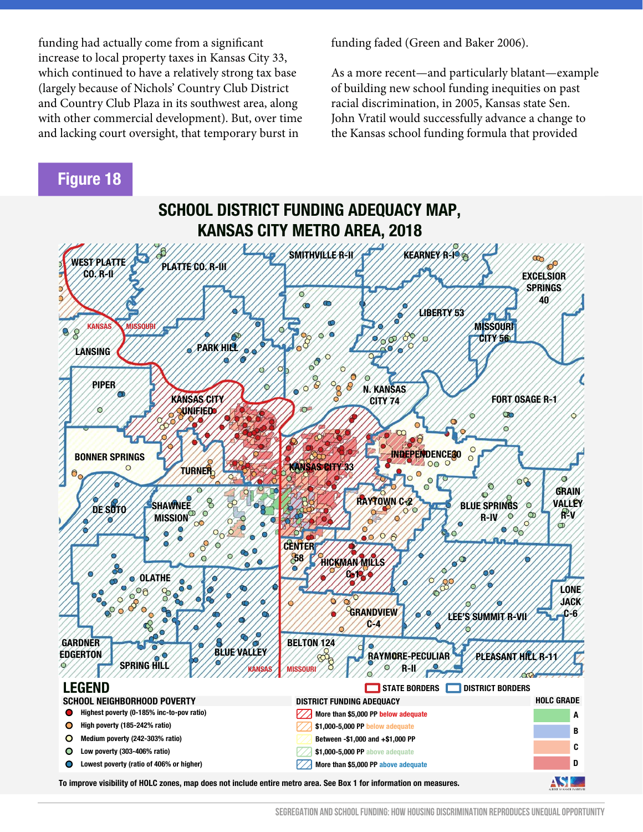funding had actually come from a significant increase to local property taxes in Kansas City 33, which continued to have a relatively strong tax base (largely because of Nichols' Country Club District and Country Club Plaza in its southwest area, along with other commercial development). But, over time and lacking court oversight, that temporary burst in

**Figure 18**

funding faded (Green and Baker 2006).

As a more recent—and particularly blatant—example of building new school funding inequities on past racial discrimination, in 2005, Kansas state Sen. John Vratil would successfully advance a change to the Kansas school funding formula that provided



**To improve visibility of HOLC zones, map does not include entire metro area. See Box 1 for information on measures.**

**SEGREGATION AND SCHOOL FUNDING: HOW HOUSING DISCRIMINATION REPRODUCES UNEQUAL OPPORTUNITY**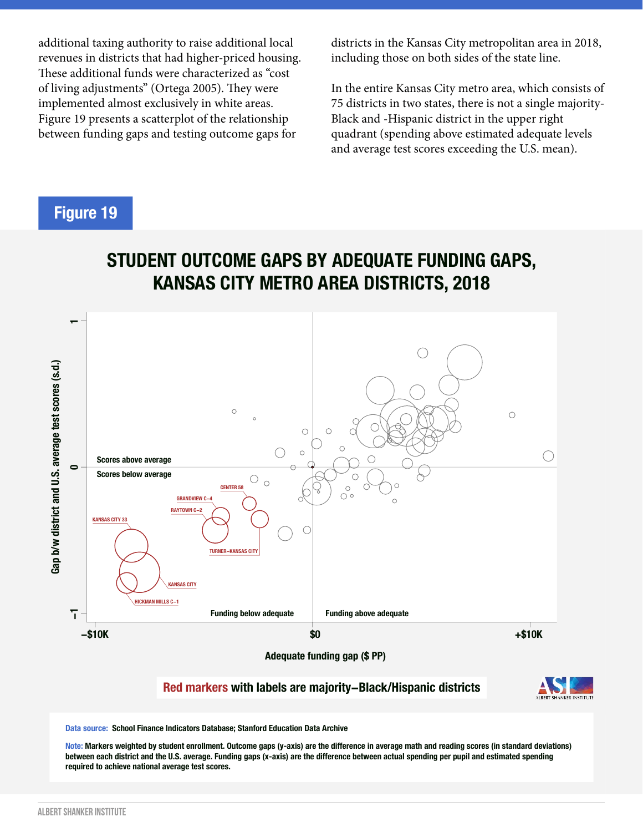additional taxing authority to raise additional local revenues in districts that had higher-priced housing. These additional funds were characterized as "cost of living adjustments" (Ortega 2005). They were implemented almost exclusively in white areas. Figure 19 presents a scatterplot of the relationship between funding gaps and testing outcome gaps for

districts in the Kansas City metropolitan area in 2018, including those on both sides of the state line.

In the entire Kansas City metro area, which consists of 75 districts in two states, there is not a single majority-Black and -Hispanic district in the upper right quadrant (spending above estimated adequate levels and average test scores exceeding the U.S. mean).

## **Figure 19**





**Adequate funding gap (\$ PP)**

**Red markers with labels are majority−Black/Hispanic districts**



**Data source: School Finance Indicators Database; Stanford Education Data Archive**

**Note: Markers weighted by student enrollment. Outcome gaps (y-axis) are the difference in average math and reading scores (in standard deviations) between each district and the U.S. average. Funding gaps (x-axis) are the difference between actual spending per pupil and estimated spending required to achieve national average test scores.**